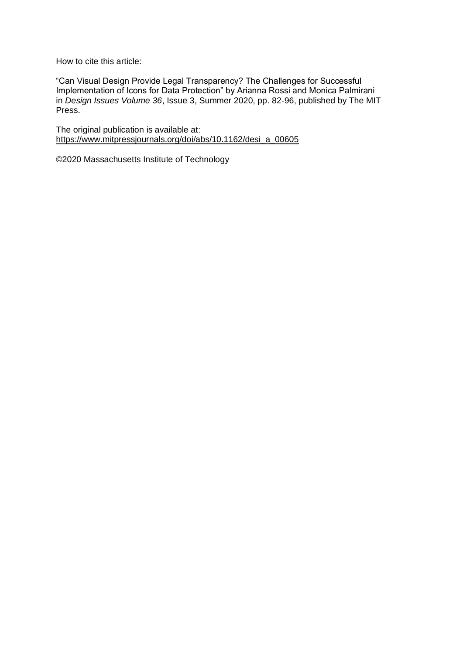How to cite this article:

"Can Visual Design Provide Legal Transparency? The Challenges for Successful Implementation of Icons for Data Protection" by Arianna Rossi and Monica Palmirani in *Design Issues Volume 36*, Issue 3, Summer 2020, pp. 82-96, published by The MIT Press.

The original publication is available at: [https://www.mitpressjournals.org/doi/abs/10.1162/desi\\_a\\_00605](https://www.mitpressjournals.org/doi/abs/10.1162/desi_a_00605)

©2020 Massachusetts Institute of Technology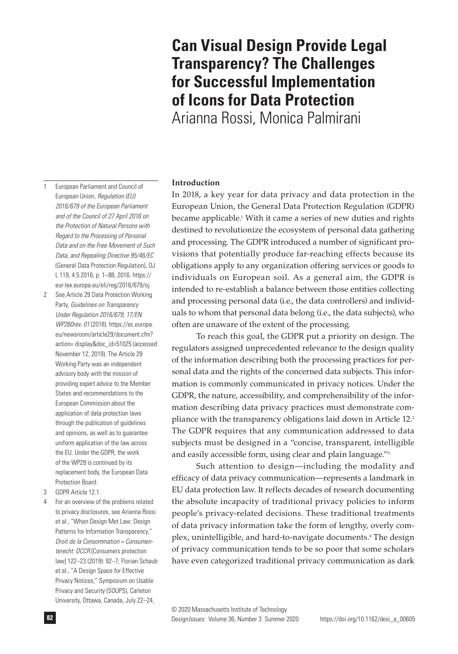#### **82** Design*Issues:* Volume 36, Number 3 Summer 2020 © 2020 Massachusetts Institute of Technology

# 1 European Parliament and Council of European Union, *Regulation (EU) 2016/679 of the European Parliament and of the Council of 27 April 2016 on the Protection of Natural Persons with Regard to the Processing of Personal Data and on the Free Movement of Such Data, and Repealing Directive 95/46/EC* (General Data Protection Regulation), OJ L 119, 4.5.2016, p. 1–88, 2016. https://

- eur-lex.europa.eu/eli/reg/2016/679/oj. 2 See Article 29 Data Protection Working Party, *Guidelines on Transparency Under Regulation 2016/679, 17/EN WP260rev. 01* (2018). https://ec.europa. eu/newsroom/article29/document.cfm? action= display&doc\_id=51025 (accessed November 12, 2019). The Article 29 Working Party was an independent advisory body with the mission of providing expert advice to the Member States and recommendations to the European Commission about the application of data protection laws through the publication of guidelines and opinions, as well as to guarantee uniform application of the law across the EU. Under the GDPR, the work of the WP29 is continued by its replacement body, the European Data Protection Board.
- 3 GDPR Article 12.1.
- 4 For an overview of the problems related to privacy disclosures, see Arianna Rossi et al., "When Design Met Law: Design Patterns for Information Transparency," *Droit de la Consommation = Consumenterecht: DCCR* [Consumers protection law] 122–23 (2019): 92–7; Florian Schaub et al., "A Design Space for Effective Privacy Notices," Symposium on Usable Privacy and Security (SOUPS), Carleton University, Ottawa, Canada, July 22–24,

In 2018, a key year for data privacy and data protection in the European Union, the General Data Protection Regulation (GDPR) became applicable.<sup>1</sup> With it came a series of new duties and rights destined to revolutionize the ecosystem of personal data gathering and processing. The GDPR introduced a number of significant provisions that potentially produce far-reaching effects because its obligations apply to any organization offering services or goods to individuals on European soil. As a general aim, the GDPR is intended to re-establish a balance between those entities collecting and processing personal data (i.e., the data controllers) and individuals to whom that personal data belong (i.e., the data subjects), who often are unaware of the extent of the processing.

To reach this goal, the GDPR put a priority on design. The regulators assigned unprecedented relevance to the design quality of the information describing both the processing practices for personal data and the rights of the concerned data subjects. This information is commonly communicated in privacy notices. Under the GDPR, the nature, accessibility, and comprehensibility of the information describing data privacy practices must demonstrate compliance with the transparency obligations laid down in Article 12.<sup>2</sup> The GDPR requires that any communication addressed to data subjects must be designed in a "concise, transparent, intelligible and easily accessible form, using clear and plain language."3

Such attention to design—including the modality and efficacy of data privacy communication—represents a landmark in EU data protection law. It reflects decades of research documenting the absolute incapacity of traditional privacy policies to inform people's privacy-related decisions. These traditional treatments of data privacy information take the form of lengthy, overly complex, unintelligible, and hard-to-navigate documents.4 The design of privacy communication tends to be so poor that some scholars have even categorized traditional privacy communication as dark

# **Can Visual Design Provide Legal Transparency? The Challenges for Successful Implementation of Icons for Data Protection**

Arianna Rossi, Monica Palmirani

# **Introduction**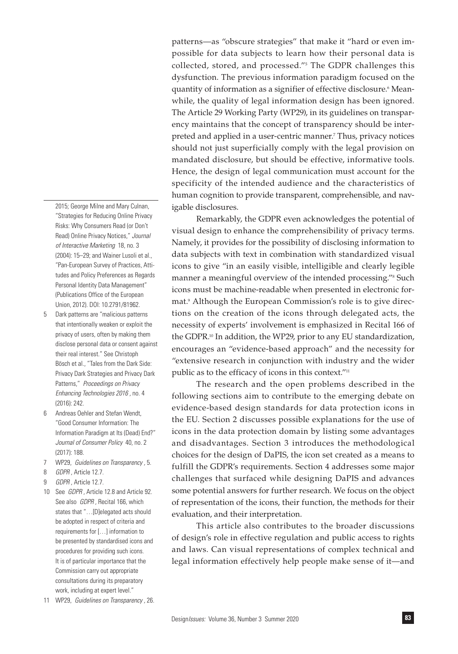2015; George Milne and Mary Culnan, "Strategies for Reducing Online Privacy Risks: Why Consumers Read (or Don't Read) Online Privacy Notices," *Journal of Interactive Marketing* 18, no. 3 (2004): 15–29; and Wainer Lusoli et al., "Pan-European Survey of Practices, Attitudes and Policy Preferences as Regards Personal Identity Data Management" (Publications Office of the European Union, 2012). DOI: 10.2791/81962.

- 5 Dark patterns are "malicious patterns that intentionally weaken or exploit the privacy of users, often by making them disclose personal data or consent against their real interest." See Christoph Bösch et al., "Tales from the Dark Side: Privacy Dark Strategies and Privacy Dark Patterns," *Proceedings on Privacy Enhancing Technologies 2016 ,* no. 4 (2016): 242.
- 6 Andreas Oehler and Stefan Wendt, "Good Consumer Information: The Information Paradigm at Its (Dead) End?" *Journal of Consumer Policy* 40, no. 2 (2017): 188.
- 7 WP29, *Guidelines on Transparency ,* 5.
- 8 *GDPR ,* Article 12.7.
- 9 *GDPR ,* Article 12.7.
- 10 See *GDPR ,* Article 12.8 and Article 92. See also *GDPR ,* Recital 166, which states that "…[D]elegated acts should be adopted in respect of criteria and requirements for […] information to be presented by standardised icons and procedures for providing such icons. It is of particular importance that the Commission carry out appropriate consultations during its preparatory work, including at expert level."
- 11 WP29, *Guidelines on Transparency ,* 26.

patterns—as "obscure strategies" that make it "hard or even impossible for data subjects to learn how their personal data is collected, stored, and processed."5 The GDPR challenges this dysfunction. The previous information paradigm focused on the quantity of information as a signifier of effective disclosure.<sup>6</sup> Meanwhile, the quality of legal information design has been ignored. The Article 29 Working Party (WP29), in its guidelines on transparency maintains that the concept of transparency should be interpreted and applied in a user-centric manner.7 Thus, privacy notices should not just superficially comply with the legal provision on mandated disclosure, but should be effective, informative tools. Hence, the design of legal communication must account for the specificity of the intended audience and the characteristics of human cognition to provide transparent, comprehensible, and navigable disclosures.

Remarkably, the GDPR even acknowledges the potential of visual design to enhance the comprehensibility of privacy terms. Namely, it provides for the possibility of disclosing information to data subjects with text in combination with standardized visual icons to give "in an easily visible, intelligible and clearly legible manner a meaningful overview of the intended processing."<sup>8</sup> Such icons must be machine-readable when presented in electronic format.9 Although the European Commission's role is to give directions on the creation of the icons through delegated acts, the necessity of experts' involvement is emphasized in Recital 166 of the GDPR.10 In addition, the WP29, prior to any EU standardization, encourages an "evidence-based approach" and the necessity for "extensive research in conjunction with industry and the wider public as to the efficacy of icons in this context."<sup>11</sup>

The research and the open problems described in the following sections aim to contribute to the emerging debate on evidence-based design standards for data protection icons in the EU. Section 2 discusses possible explanations for the use of icons in the data protection domain by listing some advantages and disadvantages. Section 3 introduces the methodological choices for the design of DaPIS, the icon set created as a means to fulfill the GDPR's requirements. Section 4 addresses some major challenges that surfaced while designing DaPIS and advances some potential answers for further research. We focus on the object of representation of the icons, their function, the methods for their evaluation, and their interpretation.

This article also contributes to the broader discussions of design's role in effective regulation and public access to rights and laws. Can visual representations of complex technical and legal information effectively help people make sense of it—and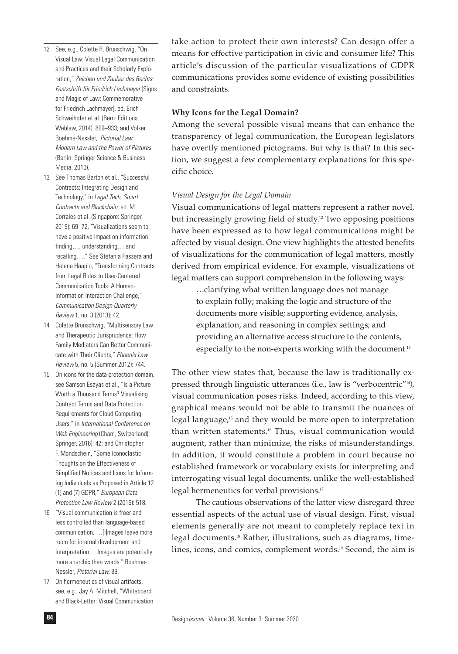- 12 See, e.g., Colette R. Brunschwig, "On Visual Law: Visual Legal Communication and Practices and their Scholarly Exploration," *Zeichen und Zauber des Rechts: Festschrift für Friedrich Lachmayer* [Signs and Magic of Law: Commemorative for Friedrich Lachmayer], ed. Erich Schweihofer et al. (Bern: Editions Weblaw, 2014): 899–933; and Volker Boehme-Nessler, *Pictorial Law: Modern Law and the Power of Pictures*  (Berlin: Springer Science & Business Media, 2010).
- 13 See Thomas Barton et al., "Successful Contracts: Integrating Design and Technology," in *Legal Tech, Smart Contracts and Blockchain,* ed. M. Corrales et al. (Singapore: Springer, 2019): 69–72. "Visualizations seem to have a positive impact on information finding…, understanding… and recalling…." See Stefania Passera and Helena Haapio, "Transforming Contracts from Legal Rules to User-Centered Communication Tools: A Human-Information Interaction Challenge," *Communication Design Quarterly Review* 1, no. 3 (2013): 42.
- 14 Colette Brunschwig, "Multisensory Law and Therapeutic Jurisprudence: How Family Mediators Can Better Communicate with Their Clients," *Phoenix Law Review* 5, no. 5 (Summer 2012): 744.
- 15 On icons for the data protection domain, see Samson Esayas et al., "Is a Picture Worth a Thousand Terms? Visualising Contract Terms and Data Protection Requirements for Cloud Computing Users," in *International Conference on Web Engineering* (Cham, Switzerland): Springer, 2016): 42; and Christopher F. Mondschein, "Some Iconoclastic Thoughts on the Effectiveness of Simplified Notices and Icons for Informing Individuals as Proposed in Article 12 (1) and (7) GDPR," *European Data Protection Law Review* 2 (2016): 518.
- 16 "Visual communication is freer and less controlled than language-based communication. …[I]mages leave more room for internal development and interpretation.…Images are potentially more anarchic than words." Boehme-Nessler, *Pictorial Law,* 89.
- 17 On hermeneutics of visual artifacts, see, e.g., Jay A. Mitchell, "Whiteboard and Black-Letter: Visual Communication

take action to protect their own interests? Can design offer a means for effective participation in civic and consumer life? This article's discussion of the particular visualizations of GDPR communications provides some evidence of existing possibilities and constraints.

## **Why Icons for the Legal Domain?**

Among the several possible visual means that can enhance the transparency of legal communication, the European legislators have overtly mentioned pictograms. But why is that? In this section, we suggest a few complementary explanations for this specific choice.

# *Visual Design for the Legal Domain*

Visual communications of legal matters represent a rather novel, but increasingly growing field of study.12 Two opposing positions have been expressed as to how legal communications might be affected by visual design. One view highlights the attested benefits of visualizations for the communication of legal matters, mostly derived from empirical evidence. For example, visualizations of legal matters can support comprehension in the following ways:

> …clarifying what written language does not manage to explain fully; making the logic and structure of the documents more visible; supporting evidence, analysis, explanation, and reasoning in complex settings; and providing an alternative access structure to the contents, especially to the non-experts working with the document.<sup>13</sup>

The other view states that, because the law is traditionally expressed through linguistic utterances (i.e., law is "verbocentric"14), visual communication poses risks. Indeed, according to this view, graphical means would not be able to transmit the nuances of legal language,<sup>15</sup> and they would be more open to interpretation than written statements.16 Thus, visual communication would augment, rather than minimize, the risks of misunderstandings. In addition, it would constitute a problem in court because no established framework or vocabulary exists for interpreting and interrogating visual legal documents, unlike the well-established legal hermeneutics for verbal provisions.17

The cautious observations of the latter view disregard three essential aspects of the actual use of visual design. First, visual elements generally are not meant to completely replace text in legal documents.18 Rather, illustrations, such as diagrams, timelines, icons, and comics, complement words.<sup>19</sup> Second, the aim is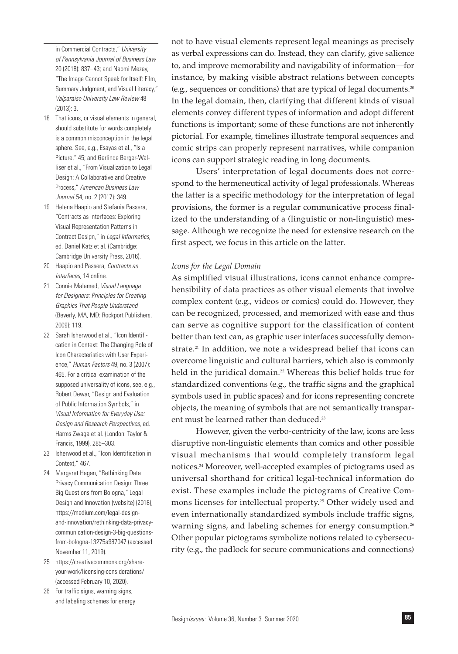in Commercial Contracts," *University of Pennsylvania Journal of Business Law* 20 (2018): 837–43; and Naomi Mezey, "The Image Cannot Speak for Itself: Film, Summary Judgment, and Visual Literacy," *Valparaiso University Law Review* 48 (2013): 3.

- 18 That icons, or visual elements in general, should substitute for words completely is a common misconception in the legal sphere. See, e.g., Esayas et al., "Is a Picture," 45; and Gerlinde Berger-Walliser et al., "From Visualization to Legal Design: A Collaborative and Creative Process," *American Business Law Journal* 54, no. 2 (2017): 349.
- 19 Helena Haapio and Stefania Passera, "Contracts as Interfaces: Exploring Visual Representation Patterns in Contract Design," in *Legal Informatics,*  ed. Daniel Katz et al. (Cambridge: Cambridge University Press, 2016).
- 20 Haapio and Passera, *Contracts as Interfaces,* 14 online.
- 21 Connie Malamed, *Visual Language for Designers: Principles for Creating Graphics That People Understand*  (Beverly, MA, MD: Rockport Publishers, 2009): 119.
- 22 Sarah Isherwood et al., "Icon Identification in Context: The Changing Role of Icon Characteristics with User Experience," *Human Factors* 49, no. 3 (2007): 465. For a critical examination of the supposed universality of icons, see, e.g., Robert Dewar, "Design and Evaluation of Public Information Symbols," in *Visual Information for Everyday Use: Design and Research Perspectives,* ed. Harms Zwaga et al. (London: Taylor & Francis, 1999), 285–303.
- 23 Isherwood et al., "Icon Identification in Context," 467.
- 24 Margaret Hagan, "Rethinking Data Privacy Communication Design: Three Big Questions from Bologna," Legal Design and Innovation (website) (2018), https://medium.com/legal-designand-innovation/rethinking-data-privacycommunication-design-3-big-questionsfrom-bologna-13275a987047 (accessed November 11, 2019).
- 25 https://creativecommons.org/shareyour-work/licensing-considerations/ (accessed February 10, 2020).
- 26 For traffic signs, warning signs, and labeling schemes for energy

not to have visual elements represent legal meanings as precisely as verbal expressions can do. Instead, they can clarify, give salience to, and improve memorability and navigability of information—for instance, by making visible abstract relations between concepts (e.g., sequences or conditions) that are typical of legal documents.20 In the legal domain, then, clarifying that different kinds of visual elements convey different types of information and adopt different functions is important; some of these functions are not inherently pictorial. For example, timelines illustrate temporal sequences and comic strips can properly represent narratives, while companion icons can support strategic reading in long documents.

Users' interpretation of legal documents does not correspond to the hermeneutical activity of legal professionals. Whereas the latter is a specific methodology for the interpretation of legal provisions, the former is a regular communicative process finalized to the understanding of a (linguistic or non-linguistic) message. Although we recognize the need for extensive research on the first aspect, we focus in this article on the latter.

## *Icons for the Legal Domain*

As simplified visual illustrations, icons cannot enhance comprehensibility of data practices as other visual elements that involve complex content (e.g., videos or comics) could do. However, they can be recognized, processed, and memorized with ease and thus can serve as cognitive support for the classification of content better than text can, as graphic user interfaces successfully demonstrate.<sup>21</sup> In addition, we note a widespread belief that icons can overcome linguistic and cultural barriers, which also is commonly held in the juridical domain.<sup>22</sup> Whereas this belief holds true for standardized conventions (e.g., the traffic signs and the graphical symbols used in public spaces) and for icons representing concrete objects, the meaning of symbols that are not semantically transparent must be learned rather than deduced.<sup>23</sup>

However, given the verbo-centricity of the law, icons are less disruptive non-linguistic elements than comics and other possible visual mechanisms that would completely transform legal notices.24 Moreover, well-accepted examples of pictograms used as universal shorthand for critical legal-technical information do exist. These examples include the pictograms of Creative Commons licenses for intellectual property.25 Other widely used and even internationally standardized symbols include traffic signs, warning signs, and labeling schemes for energy consumption.<sup>26</sup> Other popular pictograms symbolize notions related to cybersecurity (e.g., the padlock for secure communications and connections)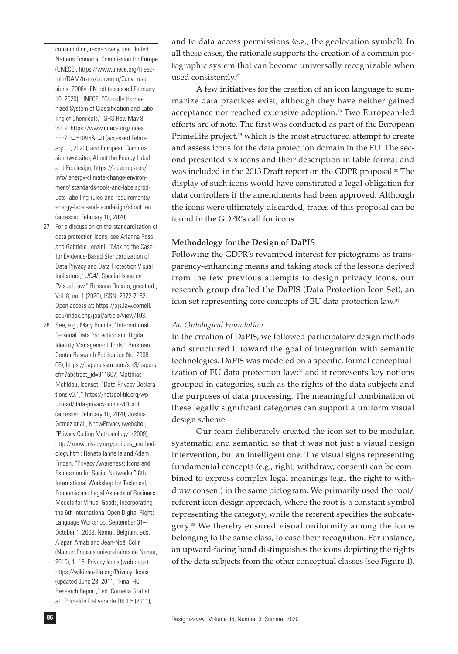consumption, respectively, see United Nations Economic Commission for Europe (UNECE), https://www.unece.org/fileadmin/DAM/trans/conventn/Conv\_road\_ signs\_2006v\_EN.pdf (accessed February 10, 2020); UNECE, "Globally Harmonized System of Classification and Labelling of Chemicals," GHS Rev. May 8, 2019, https://www.unece.org/index. php?id= 51896&L=0 (accessed February 10, 2020); and European Commission (website), About the Energy Label and Ecodesign, https://ec.europa.eu/ info/ energy-climate-change-environment/ standards-tools-and-labelsproducts-labelling-rules-and-requirements/ energy-label-and- ecodesign/about\_en (accessed February 10, 2020).

- 27 For a discussion on the standardization of data protection icons, see Arianna Rossi and Gabriele Lenzini, "Making the Case for Evidence-Based Standardization of Data Privacy and Data Protection Visual Indicators," *JOAL,* Special Issue on "Visual Law," Rossana Ducato, guest ed., Vol. 8, no. 1 (2020), ISSN: 2372-7152. Open access at: https://ojs.law.cornell. edu/index.php/joal/article/view/103.
- 28 See, e.g., Mary Rundle, "International Personal Data Protection and Digital Identity Management Tools," Berkman Center Research Publication No. 2006– 06), https://papers.ssrn.com/sol3/papers. cfm?abstract\_id=911607; Matthias Mehldau, Iconset, "Data-Privacy Declarations v0.1," https://netzpolitik.org/wpupload/data-privacy-icons-v01.pdf (accessed February 10, 2020; Joshua Gomez et al., KnowPrivacy (website), "Privacy Coding Methodology" (2009), http://knowprivacy.org/policies\_methodology.html; Renato Iannella and Adam Finden, "Privacy Awareness: Icons and Expression for Social Networks," 8th International Workshop for Technical, Economic and Legal Aspects of Business Models for Virtual Goods, incorporating the 6th International Open Digital Rights Language Workshop, September 31– October 1, 2009, Namur, Belgium, eds. Alapan Arnab and Jean-Noël Colin (Namur: Presses universitaires de Namur, 2010), 1–15; Privacy Icons (web page) https://wiki.mozilla.org/Privacy\_Icons (updated June 28, 2011; "Final HCI Research Report," ed. Cornelia Graf et al., Primelife Deliverable D4.1.5 (2011),

and to data access permissions (e.g., the geolocation symbol). In all these cases, the rationale supports the creation of a common pictographic system that can become universally recognizable when used consistently.<sup>27</sup>

A few initiatives for the creation of an icon language to summarize data practices exist, although they have neither gained acceptance nor reached extensive adoption.<sup>28</sup> Two European-led efforts are of note. The first was conducted as part of the European PrimeLife project,<sup>29</sup> which is the most structured attempt to create and assess icons for the data protection domain in the EU. The second presented six icons and their description in table format and was included in the 2013 Draft report on the GDPR proposal.<sup>30</sup> The display of such icons would have constituted a legal obligation for data controllers if the amendments had been approved. Although the icons were ultimately discarded, traces of this proposal can be found in the GDPR's call for icons.

# **Methodology for the Design of DaPIS**

Following the GDPR's revamped interest for pictograms as transparency-enhancing means and taking stock of the lessons derived from the few previous attempts to design privacy icons, our research group drafted the DaPIS (Data Protection Icon Set), an icon set representing core concepts of EU data protection law.31

### *An Ontological Foundation*

In the creation of DaPIS, we followed participatory design methods and structured it toward the goal of integration with semantic technologies. DaPIS was modeled on a specific, formal conceptualization of EU data protection law; $32$  and it represents key notions grouped in categories, such as the rights of the data subjects and the purposes of data processing. The meaningful combination of these legally significant categories can support a uniform visual design scheme.

Our team deliberately created the icon set to be modular, systematic, and semantic, so that it was not just a visual design intervention, but an intelligent one. The visual signs representing fundamental concepts (e.g., right, withdraw, consent) can be combined to express complex legal meanings (e.g., the right to withdraw consent) in the same pictogram. We primarily used the root/ referent icon design approach, where the root is a constant symbol representing the category, while the referent specifies the subcategory.33 We thereby ensured visual uniformity among the icons belonging to the same class, to ease their recognition. For instance, an upward-facing hand distinguishes the icons depicting the rights of the data subjects from the other conceptual classes (see Figure 1).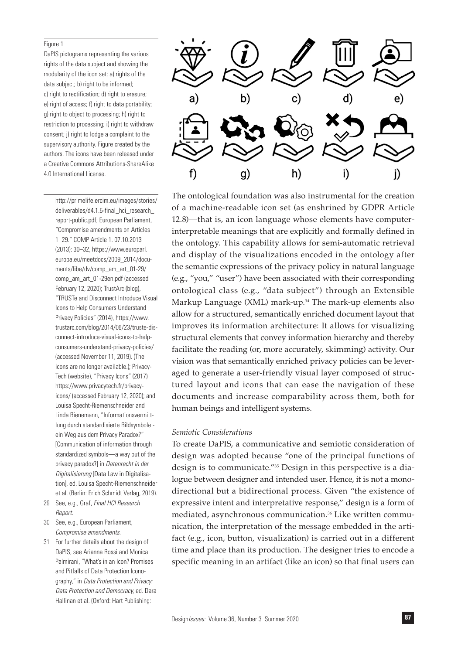#### Figure 1

DaPIS pictograms representing the various rights of the data subject and showing the modularity of the icon set: a) rights of the data subject; b) right to be informed; c) right to rectification; d) right to erasure; e) right of access; f) right to data portability; g) right to object to processing; h) right to restriction to processing; i) right to withdraw consent; j) right to lodge a complaint to the supervisory authority. Figure created by the authors. The icons have been released under a Creative Commons Attributions-ShareAlike 4.0 International License.

http://primelife.ercim.eu/images/stories/ deliverables/d4.1.5-final\_hci\_research report-public.pdf; European Parliament, "Compromise amendments on Articles 1–29." COMP Article 1. 07.10.2013 (2013): 30–32, https://www.europarl. europa.eu/meetdocs/2009\_2014/documents/libe/dv/comp\_am\_art\_01-29/ comp\_am\_art\_01-29en.pdf (accessed February 12, 2020); TrustArc (blog), "TRUSTe and Disconnect Introduce Visual Icons to Help Consumers Understand Privacy Policies" (2014), https://www. trustarc.com/blog/2014/06/23/truste-disconnect-introduce-visual-icons-to-helpconsumers-understand-privacy-policies/ (accessed November 11, 2019). (The icons are no longer available.); Privacy-Tech (website), "Privacy Icons" (2017) https://www.privacytech.fr/privacyicons/ (accessed February 12, 2020); and Louisa Specht-Riemenschneider and Linda Bienemann, "Informationsvermittlung durch standardisierte Bildsymbole ein Weg aus dem Privacy Paradox?" [Communication of information through standardized symbols—a way out of the privacy paradox?] in *Datenrecht in der Digitalisierung* [Data Law in Digitalisation], ed. Louisa Specht-Riemenschneider et al. (Berlin: Erich Schmidt Verlag, 2019).

- 29 See, e.g., Graf, *Final HCI Research Report.*
- 30 See, e.g., European Parliament, *Compromise amendments.*
- 31 For further details about the design of DaPIS, see Arianna Rossi and Monica Palmirani, "What's in an Icon? Promises and Pitfalls of Data Protection Iconography," in *Data Protection and Privacy: Data Protection and Democracy,* ed. Dara Hallinan et al. (Oxford: Hart Publishing:



The ontological foundation was also instrumental for the creation of a machine-readable icon set (as enshrined by GDPR Article 12.8)—that is, an icon language whose elements have computerinterpretable meanings that are explicitly and formally defined in the ontology. This capability allows for semi-automatic retrieval and display of the visualizations encoded in the ontology after the semantic expressions of the privacy policy in natural language (e.g., "you," "user") have been associated with their corresponding ontological class (e.g., "data subject") through an Extensible Markup Language (XML) mark-up.34 The mark-up elements also allow for a structured, semantically enriched document layout that improves its information architecture: It allows for visualizing structural elements that convey information hierarchy and thereby facilitate the reading (or, more accurately, skimming) activity. Our vision was that semantically enriched privacy policies can be leveraged to generate a user-friendly visual layer composed of structured layout and icons that can ease the navigation of these documents and increase comparability across them, both for human beings and intelligent systems.

## *Semiotic Considerations*

To create DaPIS, a communicative and semiotic consideration of design was adopted because "one of the principal functions of design is to communicate."35 Design in this perspective is a dialogue between designer and intended user. Hence, it is not a monodirectional but a bidirectional process. Given "the existence of expressive intent and interpretative response," design is a form of mediated, asynchronous communication.<sup>36</sup> Like written communication, the interpretation of the message embedded in the artifact (e.g., icon, button, visualization) is carried out in a different time and place than its production. The designer tries to encode a specific meaning in an artifact (like an icon) so that final users can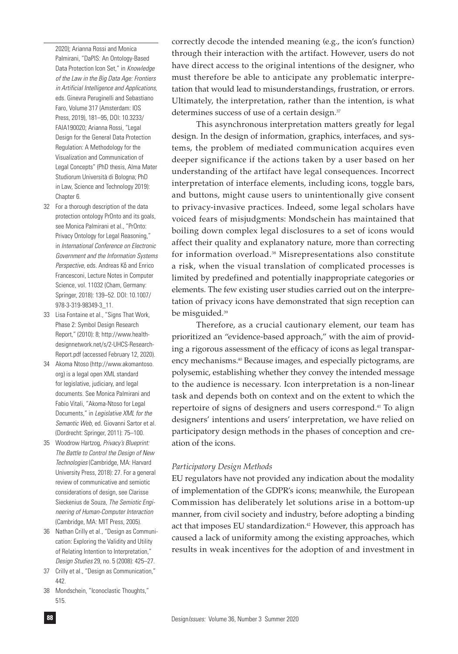2020); Arianna Rossi and Monica Palmirani, "DaPIS: An Ontology-Based Data Protection Icon Set," in *Knowledge of the Law in the Big Data Age: Frontiers in Artificial Intelligence and Applications,* eds. Ginevra Peruginelli and Sebastiano Faro, Volume 317 (Amsterdam: IOS Press, 2019), 181–95, DOI: 10.3233/ FAIA190020; Arianna Rossi, "Legal Design for the General Data Protection Regulation: A Methodology for the Visualization and Communication of Legal Concepts" (PhD thesis, Alma Mater Studiorum Università di Bologna; PhD in Law, Science and Technology 2019): Chapter 6.

- 32 For a thorough description of the data protection ontology PrOnto and its goals, see Monica Palmirani et al., "PrOnto: Privacy Ontology for Legal Reasoning," in *International Conference on Electronic Government and the Information Systems Perspective,* eds. Andreas Kő and Enrico Francesconi, Lecture Notes in Computer Science, vol. 11032 (Cham, Germany: Springer, 2018): 139–52. DOI: 10.1007/ 978-3-319-98349-3\_11.
- 33 Lisa Fontaine et al., "Signs That Work, Phase 2: Symbol Design Research Report," (2010): 8; http://www.healthdesignnetwork.net/s/2-UHCS-Research-Report.pdf (accessed February 12, 2020).
- 34 Akoma Ntoso (http://www.akomantoso. org) is a legal open XML standard for legislative, judiciary, and legal documents. See Monica Palmirani and Fabio Vitali, "Akoma-Ntoso for Legal Documents," in *Legislative XML for the Semantic Web,* ed. Giovanni Sartor et al. (Dordrecht: Springer, 2011): 75–100.
- 35 Woodrow Hartzog, *Privacy's Blueprint: The Battle to Control the Design of New Technologies* (Cambridge, MA: Harvard University Press, 2018): 27. For a general review of communicative and semiotic considerations of design, see Clarisse Sieckenius de Souza, *The Semiotic Engineering of Human-Computer Interaction* (Cambridge, MA: MIT Press, 2005).
- 36 Nathan Crilly et al., "Design as Communication: Exploring the Validity and Utility of Relating Intention to Interpretation," *Design Studies* 29, no. 5 (2008): 425–27.
- 37 Crilly et al., "Design as Communication," 442.
- 38 Mondschein, "Iconoclastic Thoughts," 515.

correctly decode the intended meaning (e.g., the icon's function) through their interaction with the artifact. However, users do not have direct access to the original intentions of the designer, who must therefore be able to anticipate any problematic interpretation that would lead to misunderstandings, frustration, or errors. Ultimately, the interpretation, rather than the intention, is what determines success of use of a certain design. $\sqrt[3]{}$ 

This asynchronous interpretation matters greatly for legal design. In the design of information, graphics, interfaces, and systems, the problem of mediated communication acquires even deeper significance if the actions taken by a user based on her understanding of the artifact have legal consequences. Incorrect interpretation of interface elements, including icons, toggle bars, and buttons, might cause users to unintentionally give consent to privacy-invasive practices. Indeed, some legal scholars have voiced fears of misjudgments: Mondschein has maintained that boiling down complex legal disclosures to a set of icons would affect their quality and explanatory nature, more than correcting for information overload.38 Misrepresentations also constitute a risk, when the visual translation of complicated processes is limited by predefined and potentially inappropriate categories or elements. The few existing user studies carried out on the interpretation of privacy icons have demonstrated that sign reception can be misguided.39

Therefore, as a crucial cautionary element, our team has prioritized an "evidence-based approach," with the aim of providing a rigorous assessment of the efficacy of icons as legal transparency mechanisms.40 Because images, and especially pictograms, are polysemic, establishing whether they convey the intended message to the audience is necessary. Icon interpretation is a non-linear task and depends both on context and on the extent to which the repertoire of signs of designers and users correspond.41 To align designers' intentions and users' interpretation, we have relied on participatory design methods in the phases of conception and creation of the icons.

## *Participatory Design Methods*

EU regulators have not provided any indication about the modality of implementation of the GDPR's icons; meanwhile, the European Commission has deliberately let solutions arise in a bottom-up manner, from civil society and industry, before adopting a binding act that imposes EU standardization.<sup>42</sup> However, this approach has caused a lack of uniformity among the existing approaches, which results in weak incentives for the adoption of and investment in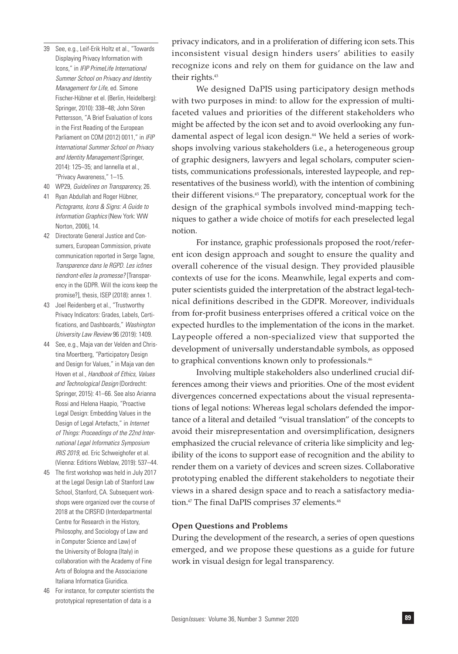- 39 See, e.g., Leif-Erik Holtz et al., "Towards Displaying Privacy Information with Icons," in *IFIP PrimeLife International Summer School on Privacy and Identity Management for Life,* ed. Simone Fischer-Hübner et el. (Berlin, Heidelberg): Springer, 2010): 338–48; John Sören Pettersson, "A Brief Evaluation of Icons in the First Reading of the European Parliament on COM (2012) 0011," in *IFIP International Summer School on Privacy and Identity Management* (Springer, 2014): 125–35; and Iannella et al., "Privacy Awareness," 1–15.
- 40 WP29, *Guidelines on Transparency,* 26.
- 41 Ryan Abdullah and Roger Hübner, *Pictograms, Icons & Signs: A Guide to Information Graphics* (New York: WW Norton, 2006), 14.
- 42 Directorate General Justice and Consumers, European Commission, private communication reported in Serge Tagne, *Transparence dans le RGPD. Les icônes tiendront-elles la promesse?* [Transparency in the GDPR. Will the icons keep the promise?], thesis, ISEP (2018): annex 1.
- 43 Joel Reidenberg et al., "Trustworthy Privacy Indicators: Grades, Labels, Certifications, and Dashboards," *Washington University Law Review* 96 (2019): 1409.
- 44 See, e.g., Maja van der Velden and Christina Moertberg, "Participatory Design and Design for Values," in Maja van den Hoven et al., *Handbook of Ethics, Values and Technological Design* (Dordrecht: Springer, 2015): 41–66. See also Arianna Rossi and Helena Haapio, "Proactive Legal Design: Embedding Values in the Design of Legal Artefacts," in *Internet of Things: Proceedings of the 22nd International Legal Informatics Symposium IRIS 2019,* ed. Eric Schweighofer et al. (Vienna: Editions Weblaw, 2019): 537–44.
- 45 The first workshop was held in July 2017 at the Legal Design Lab of Stanford Law School, Stanford, CA. Subsequent workshops were organized over the course of 2018 at the CIRSFID (Interdepartmental Centre for Research in the History, Philosophy, and Sociology of Law and in Computer Science and Law) of the University of Bologna (Italy) in collaboration with the Academy of Fine Arts of Bologna and the Associazione Italiana Informatica Giuridica.
- 46 For instance, for computer scientists the prototypical representation of data is a

privacy indicators, and in a proliferation of differing icon sets.This inconsistent visual design hinders users' abilities to easily recognize icons and rely on them for guidance on the law and their rights.43

We designed DaPIS using participatory design methods with two purposes in mind: to allow for the expression of multifaceted values and priorities of the different stakeholders who might be affected by the icon set and to avoid overlooking any fundamental aspect of legal icon design.44 We held a series of workshops involving various stakeholders (i.e., a heterogeneous group of graphic designers, lawyers and legal scholars, computer scientists, communications professionals, interested laypeople, and representatives of the business world), with the intention of combining their different visions.45 The preparatory, conceptual work for the design of the graphical symbols involved mind-mapping techniques to gather a wide choice of motifs for each preselected legal notion.

For instance, graphic professionals proposed the root/referent icon design approach and sought to ensure the quality and overall coherence of the visual design. They provided plausible contexts of use for the icons. Meanwhile, legal experts and computer scientists guided the interpretation of the abstract legal-technical definitions described in the GDPR. Moreover, individuals from for-profit business enterprises offered a critical voice on the expected hurdles to the implementation of the icons in the market. Laypeople offered a non-specialized view that supported the development of universally understandable symbols, as opposed to graphical conventions known only to professionals.<sup>46</sup>

Involving multiple stakeholders also underlined crucial differences among their views and priorities. One of the most evident divergences concerned expectations about the visual representations of legal notions: Whereas legal scholars defended the importance of a literal and detailed "visual translation" of the concepts to avoid their misrepresentation and oversimplification, designers emphasized the crucial relevance of criteria like simplicity and legibility of the icons to support ease of recognition and the ability to render them on a variety of devices and screen sizes. Collaborative prototyping enabled the different stakeholders to negotiate their views in a shared design space and to reach a satisfactory mediation.<sup>47</sup> The final DaPIS comprises 37 elements.<sup>48</sup>

# **Open Questions and Problems**

During the development of the research, a series of open questions emerged, and we propose these questions as a guide for future work in visual design for legal transparency.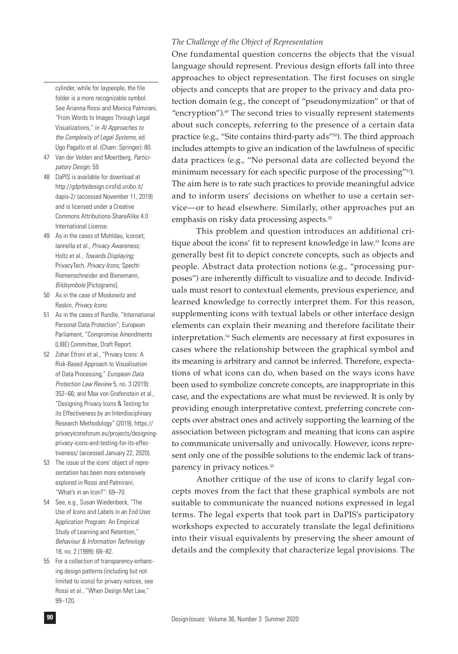*The Challenge of the Object of Representation*

One fundamental question concerns the objects that the visual language should represent. Previous design efforts fall into three approaches to object representation. The first focuses on single objects and concepts that are proper to the privacy and data protection domain (e.g., the concept of "pseudonymization" or that of "encryption").49 The second tries to visually represent statements about such concepts, referring to the presence of a certain data practice (e.g., "Site contains third-party ads"<sup>50</sup>). The third approach includes attempts to give an indication of the lawfulness of specific data practices (e.g., "No personal data are collected beyond the minimum necessary for each specific purpose of the processing"51). The aim here is to rate such practices to provide meaningful advice and to inform users' decisions on whether to use a certain service—or to head elsewhere. Similarly, other approaches put an emphasis on risky data processing aspects.<sup>52</sup>

This problem and question introduces an additional critique about the icons' fit to represent knowledge in law.<sup>53</sup> Icons are generally best fit to depict concrete concepts, such as objects and people. Abstract data protection notions (e.g., "processing purposes") are inherently difficult to visualize and to decode. Individuals must resort to contextual elements, previous experience, and learned knowledge to correctly interpret them. For this reason, supplementing icons with textual labels or other interface design elements can explain their meaning and therefore facilitate their interpretation.54 Such elements are necessary at first exposures in cases where the relationship between the graphical symbol and its meaning is arbitrary and cannot be inferred. Therefore, expectations of what icons can do, when based on the ways icons have been used to symbolize concrete concepts, are inappropriate in this case, and the expectations are what must be reviewed. It is only by providing enough interpretative context, preferring concrete concepts over abstract ones and actively supporting the learning of the association between pictogram and meaning that icons can aspire to communicate universally and univocally. However, icons represent only one of the possible solutions to the endemic lack of transparency in privacy notices.<sup>55</sup>

Another critique of the use of icons to clarify legal concepts moves from the fact that these graphical symbols are not suitable to communicate the nuanced notions expressed in legal terms. The legal experts that took part in DaPIS's participatory workshops expected to accurately translate the legal definitions into their visual equivalents by preserving the sheer amount of details and the complexity that characterize legal provisions. The

cylinder, while for laypeople, the file folder is a more recognizable symbol. See Arianna Rossi and Monica Palmirani, "From Words to Images Through Legal Visualizations," in *AI Approaches to the Complexity of Legal Systems,* ed. Ugo Pagallo et al. (Cham: Springer): 80.

- 47 Van der Velden and Moertberg, *Participatory Design,* 59.
- 48 DaPIS is available for download at http://gdprbydesign.cirsfid.unibo.it/ dapis-2/ (accessed November 11, 2019) and is licensed under a Creative Commons Attributions-ShareAlike 4.0 International License.
- 49 As in the cases of Mehldau, Iconset; Iannella et al., *Privacy Awareness;* Holtz et al., *Towards Displaying;* PrivacyTech, *Privacy Icons;* Specht-Riemenschneider and Bienemann, *Bildsymbole* [Pictograms].
- 50 As in the case of Moskowitz and Raskin, *Privacy Icons.*
- 51 As in the cases of Rundle, "International Personal Data Protection"; European Parliament, "Compromise Amendments (LIBE) Committee, Draft Report.
- 52 Zohar Efroni et al., "Privacy Icons: A Risk-Based Approach to Visualisation of Data Processing," *European Data Protection Law Review* 5, no. 3 (2019): 352–66; and Max von Grafenstein et al., "Designing Privacy Icons & Testing for its Effectiveness by an Interdisciplinary Research Methodology" (2019), https:// privacyiconsforum.eu/projects/designingprivacy-icons-and-testing-for-its-effectiveness/ (accessed January 22, 2020).
- 53 The issue of the icons' object of representation has been more extensively explored in Rossi and Palmirani, "What's in an Icon?": 69–70.
- 54 See, e.g., Susan Wiedenbeck, "The Use of Icons and Labels in an End User Application Program: An Empirical Study of Learning and Retention," *Behaviour & Information Technology* 18, no. 2 (1999): 68–82.
- 55 For a collection of transparency-enhancing design patterns (including but not limited to icons) for privacy notices, see Rossi et al., "When Design Met Law," 99–120.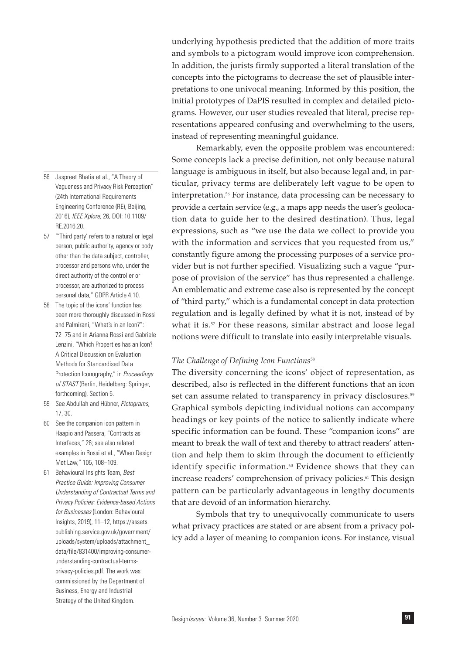- 56 Jaspreet Bhatia et al., "A Theory of Vagueness and Privacy Risk Perception" (24th International Requirements Engineering Conference (RE), Beijing, 2016), *IEEE Xplore,* 26, DOI: 10.1109/ RE.2016.20.
- 57 "'Third party' refers to a natural or legal person, public authority, agency or body other than the data subject, controller, processor and persons who, under the direct authority of the controller or processor, are authorized to process personal data," GDPR Article 4.10.
- 58 The topic of the icons' function has been more thoroughly discussed in Rossi and Palmirani, "What's in an Icon?": 72–75 and in Arianna Rossi and Gabriele Lenzini, "Which Properties has an Icon? A Critical Discussion on Evaluation Methods for Standardised Data Protection Iconography," in *Proceedings of STAST* (Berlin, Heidelberg: Springer, forthcoming), Section 5.
- 59 See Abdullah and Hübner, *Pictograms,* 17, 30.
- 60 See the companion icon pattern in Haapio and Passera, "Contracts as Interfaces," 26; see also related examples in Rossi et al., "When Design Met Law," 105, 108–109.
- 61 Behavioural Insights Team, *Best Practice Guide: Improving Consumer Understanding of Contractual Terms and Privacy Policies: Evidence-based Actions for Businesses* (London: Behavioural Insights, 2019), 11–12, https://assets. publishing.service.gov.uk/government/ uploads/system/uploads/attachment\_ data/file/831400/improving-consumerunderstanding-contractual-termsprivacy-policies.pdf. The work was commissioned by the Department of Business, Energy and Industrial Strategy of the United Kingdom.

underlying hypothesis predicted that the addition of more traits and symbols to a pictogram would improve icon comprehension. In addition, the jurists firmly supported a literal translation of the concepts into the pictograms to decrease the set of plausible interpretations to one univocal meaning. Informed by this position, the initial prototypes of DaPIS resulted in complex and detailed pictograms. However, our user studies revealed that literal, precise representations appeared confusing and overwhelming to the users, instead of representing meaningful guidance.

Remarkably, even the opposite problem was encountered: Some concepts lack a precise definition, not only because natural language is ambiguous in itself, but also because legal and, in particular, privacy terms are deliberately left vague to be open to interpretation.56 For instance, data processing can be necessary to provide a certain service (e.g., a maps app needs the user's geolocation data to guide her to the desired destination). Thus, legal expressions, such as "we use the data we collect to provide you with the information and services that you requested from us," constantly figure among the processing purposes of a service provider but is not further specified. Visualizing such a vague "purpose of provision of the service" has thus represented a challenge. An emblematic and extreme case also is represented by the concept of "third party," which is a fundamental concept in data protection regulation and is legally defined by what it is not, instead of by what it is.<sup>57</sup> For these reasons, similar abstract and loose legal notions were difficult to translate into easily interpretable visuals.

## *The Challenge of Defining Icon Functions*<sup>58</sup>

The diversity concerning the icons' object of representation, as described, also is reflected in the different functions that an icon set can assume related to transparency in privacy disclosures.<sup>59</sup> Graphical symbols depicting individual notions can accompany headings or key points of the notice to saliently indicate where specific information can be found. These "companion icons" are meant to break the wall of text and thereby to attract readers' attention and help them to skim through the document to efficiently identify specific information.<sup>60</sup> Evidence shows that they can increase readers' comprehension of privacy policies.<sup>61</sup> This design pattern can be particularly advantageous in lengthy documents that are devoid of an information hierarchy.

Symbols that try to unequivocally communicate to users what privacy practices are stated or are absent from a privacy policy add a layer of meaning to companion icons. For instance, visual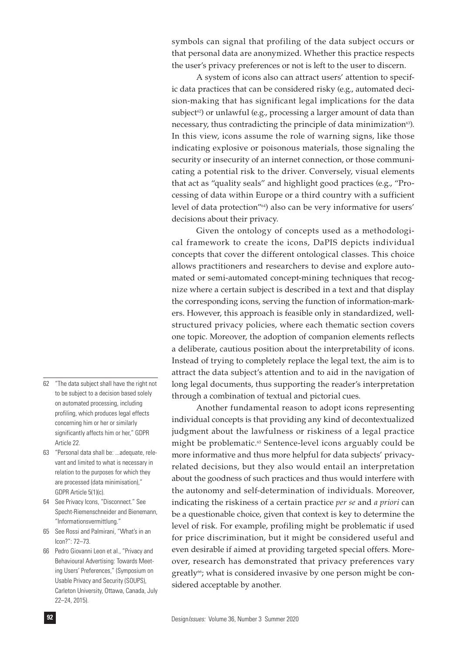symbols can signal that profiling of the data subject occurs or that personal data are anonymized. Whether this practice respects the user's privacy preferences or not is left to the user to discern.

A system of icons also can attract users' attention to specific data practices that can be considered risky (e.g., automated decision-making that has significant legal implications for the data subject<sup> $\infty$ </sup>) or unlawful (e.g., processing a larger amount of data than necessary, thus contradicting the principle of data minimization<sup>63</sup>). In this view, icons assume the role of warning signs, like those indicating explosive or poisonous materials, those signaling the security or insecurity of an internet connection, or those communicating a potential risk to the driver. Conversely, visual elements that act as "quality seals" and highlight good practices (e.g., "Processing of data within Europe or a third country with a sufficient level of data protection"64) also can be very informative for users' decisions about their privacy.

Given the ontology of concepts used as a methodological framework to create the icons, DaPIS depicts individual concepts that cover the different ontological classes. This choice allows practitioners and researchers to devise and explore automated or semi-automated concept-mining techniques that recognize where a certain subject is described in a text and that display the corresponding icons, serving the function of information-markers. However, this approach is feasible only in standardized, wellstructured privacy policies, where each thematic section covers one topic. Moreover, the adoption of companion elements reflects a deliberate, cautious position about the interpretability of icons. Instead of trying to completely replace the legal text, the aim is to attract the data subject's attention and to aid in the navigation of long legal documents, thus supporting the reader's interpretation through a combination of textual and pictorial cues.

Another fundamental reason to adopt icons representing individual concepts is that providing any kind of decontextualized judgment about the lawfulness or riskiness of a legal practice might be problematic.<sup>65</sup> Sentence-level icons arguably could be more informative and thus more helpful for data subjects' privacyrelated decisions, but they also would entail an interpretation about the goodness of such practices and thus would interfere with the autonomy and self-determination of individuals. Moreover, indicating the riskiness of a certain practice *per se* and *a priori* can be a questionable choice, given that context is key to determine the level of risk. For example, profiling might be problematic if used for price discrimination, but it might be considered useful and even desirable if aimed at providing targeted special offers. Moreover, research has demonstrated that privacy preferences vary greatly<sup>66</sup>; what is considered invasive by one person might be considered acceptable by another.

- 62 "The data subject shall have the right not to be subject to a decision based solely on automated processing, including profiling, which produces legal effects concerning him or her or similarly significantly affects him or her," GDPR Article 22.
- 63 "Personal data shall be: ...adequate, relevant and limited to what is necessary in relation to the purposes for which they are processed (data minimisation)," GDPR Article 5(1)(c).
- 64 See Privacy Icons, "Disconnect." See Specht-Riemenschneider and Bienemann, "Informationsvermittlung."
- 65 See Rossi and Palmirani, "What's in an Icon?": 72–73.
- 66 Pedro Giovanni Leon et al., "Privacy and Behavioural Advertising: Towards Meeting Users' Preferences," (Symposium on Usable Privacy and Security (SOUPS), Carleton University, Ottawa, Canada, July 22–24, 2015).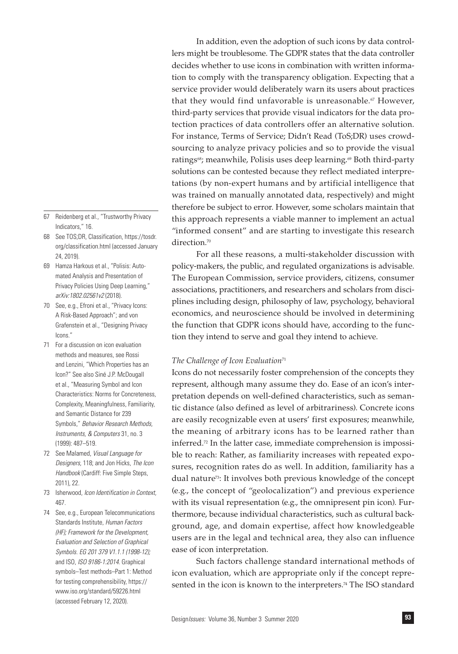- 67 Reidenberg et al., "Trustworthy Privacy Indicators," 16.
- 68 See TOS;DR, Classification, https://tosdr. org/classification.html (accessed January 24, 2019).
- 69 Hamza Harkous et al., "Polisis: Automated Analysis and Presentation of Privacy Policies Using Deep Learning," *arXiv:1802.02561v2* (2018).
- 70 See, e.g., Efroni et al., "Privacy Icons: A Risk-Based Approach"; and von Grafenstein et al., "Designing Privacy Icons."
- 71 For a discussion on icon evaluation methods and measures, see Rossi and Lenzini, "Which Properties has an Icon?" See also Siné J.P. McDougall et al., "Measuring Symbol and Icon Characteristics: Norms for Concreteness, Complexity, Meaningfulness, Familiarity, and Semantic Distance for 239 Symbols," *Behavior Research Methods, Instruments, & Computers* 31, no. 3 (1999): 487–519.
- 72 See Malamed, *Visual Language for Designers,* 118; and Jon Hicks, *The Icon Handbook* (Cardiff: Five Simple Steps, 2011), 22.
- 73 Isherwood, *Icon Identification in Context,*  467.
- 74 See, e.g., European Telecommunications Standards Institute, *Human Factors (HF); Framework for the Development, Evaluation and Selection of Graphical Symbols. EG 201 379 V1.1.1 (1998-12);*  and ISO, *ISO 9186-1:2014.* Graphical symbols–Test methods–Part 1: Method for testing comprehensibility, https:// www.iso.org/standard/59226.html (accessed February 12, 2020).

In addition, even the adoption of such icons by data controllers might be troublesome. The GDPR states that the data controller decides whether to use icons in combination with written information to comply with the transparency obligation. Expecting that a service provider would deliberately warn its users about practices that they would find unfavorable is unreasonable.<sup>67</sup> However, third-party services that provide visual indicators for the data protection practices of data controllers offer an alternative solution. For instance, Terms of Service; Didn't Read (ToS;DR) uses crowdsourcing to analyze privacy policies and so to provide the visual ratings<sup>68</sup>; meanwhile, Polisis uses deep learning.<sup>69</sup> Both third-party solutions can be contested because they reflect mediated interpretations (by non-expert humans and by artificial intelligence that was trained on manually annotated data, respectively) and might therefore be subject to error. However, some scholars maintain that this approach represents a viable manner to implement an actual "informed consent" and are starting to investigate this research direction.<sup>70</sup>

For all these reasons, a multi-stakeholder discussion with policy-makers, the public, and regulated organizations is advisable. The European Commission, service providers, citizens, consumer associations, practitioners, and researchers and scholars from disciplines including design, philosophy of law, psychology, behavioral economics, and neuroscience should be involved in determining the function that GDPR icons should have, according to the function they intend to serve and goal they intend to achieve.

## *The Challenge of Icon Evaluation*<sup>71</sup>

Icons do not necessarily foster comprehension of the concepts they represent, although many assume they do. Ease of an icon's interpretation depends on well-defined characteristics, such as semantic distance (also defined as level of arbitrariness). Concrete icons are easily recognizable even at users' first exposures; meanwhile, the meaning of arbitrary icons has to be learned rather than inferred.72 In the latter case, immediate comprehension is impossible to reach: Rather, as familiarity increases with repeated exposures, recognition rates do as well. In addition, familiarity has a dual nature<sup>73</sup>: It involves both previous knowledge of the concept (e.g., the concept of "geolocalization") and previous experience with its visual representation (e.g., the omnipresent pin icon). Furthermore, because individual characteristics, such as cultural background, age, and domain expertise, affect how knowledgeable users are in the legal and technical area, they also can influence ease of icon interpretation.

Such factors challenge standard international methods of icon evaluation, which are appropriate only if the concept represented in the icon is known to the interpreters.<sup>74</sup> The ISO standard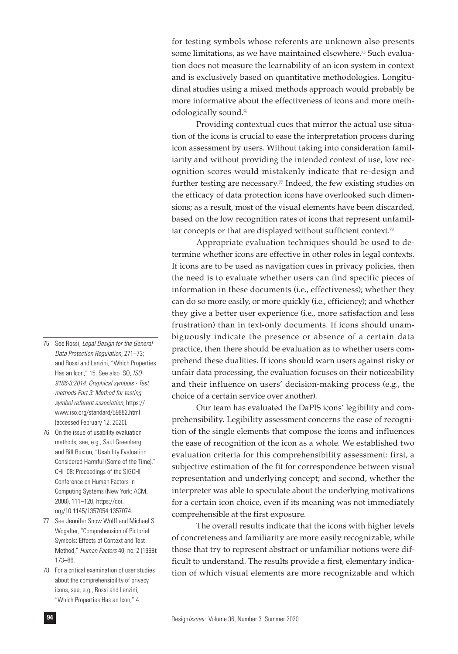for testing symbols whose referents are unknown also presents some limitations, as we have maintained elsewhere.<sup>75</sup> Such evaluation does not measure the learnability of an icon system in context and is exclusively based on quantitative methodologies. Longitudinal studies using a mixed methods approach would probably be more informative about the effectiveness of icons and more methodologically sound.76

Providing contextual cues that mirror the actual use situation of the icons is crucial to ease the interpretation process during icon assessment by users. Without taking into consideration familiarity and without providing the intended context of use, low recognition scores would mistakenly indicate that re-design and further testing are necessary. $77$  Indeed, the few existing studies on the efficacy of data protection icons have overlooked such dimensions; as a result, most of the visual elements have been discarded, based on the low recognition rates of icons that represent unfamiliar concepts or that are displayed without sufficient context.<sup>78</sup>

Appropriate evaluation techniques should be used to determine whether icons are effective in other roles in legal contexts. If icons are to be used as navigation cues in privacy policies, then the need is to evaluate whether users can find specific pieces of information in these documents (i.e., effectiveness); whether they can do so more easily, or more quickly (i.e., efficiency); and whether they give a better user experience (i.e., more satisfaction and less frustration) than in text-only documents. If icons should unambiguously indicate the presence or absence of a certain data practice, then there should be evaluation as to whether users comprehend these dualities. If icons should warn users against risky or unfair data processing, the evaluation focuses on their noticeability and their influence on users' decision-making process (e.g., the choice of a certain service over another).

Our team has evaluated the DaPIS icons' legibility and comprehensibility. Legibility assessment concerns the ease of recognition of the single elements that compose the icons and influences the ease of recognition of the icon as a whole. We established two evaluation criteria for this comprehensibility assessment: first, a subjective estimation of the fit for correspondence between visual representation and underlying concept; and second, whether the interpreter was able to speculate about the underlying motivations for a certain icon choice, even if its meaning was not immediately comprehensible at the first exposure.

The overall results indicate that the icons with higher levels of concreteness and familiarity are more easily recognizable, while those that try to represent abstract or unfamiliar notions were difficult to understand. The results provide a first, elementary indication of which visual elements are more recognizable and which

- 75 See Rossi, *Legal Design for the General Data Protection Regulation,* 271–73; and Rossi and Lenzini, "Which Properties Has an Icon," 15. See also ISO, *ISO 9186-3:2014. Graphical symbols - Test methods Part 3: Method for testing symbol referent association,* https:// www.iso.org/standard/59882.html (accessed February 12, 2020).
- 76 On the issue of usability evaluation methods, see, e.g., Saul Greenberg and Bill Buxton, "Usability Evaluation Considered Harmful (Some of the Time)," CHI '08: Proceedings of the SIGCHI Conference on Human Factors in Computing Systems (New York: ACM, 2008), 111–120, https://doi. org/10.1145/1357054.1357074.
- 77 See Jennifer Snow Wolff and Michael S. Wogalter, "Comprehension of Pictorial Symbols: Effects of Context and Test Method," *Human Factors* 40, no. 2 (1998): 173–86.
- 78 For a critical examination of user studies about the comprehensibility of privacy icons, see, e.g., Rossi and Lenzini, "Which Properties Has an Icon," 4.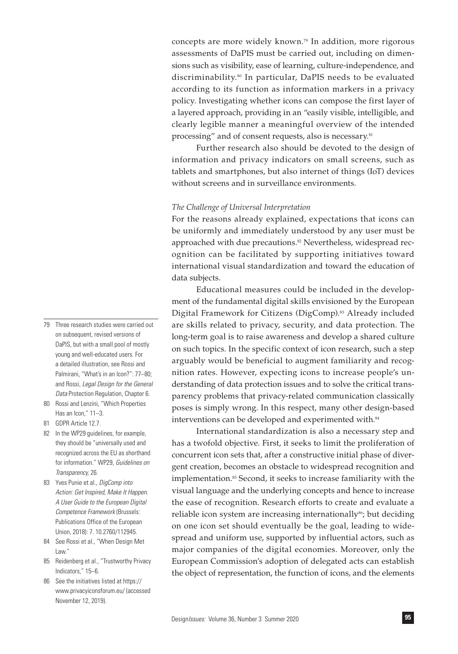concepts are more widely known.79 In addition, more rigorous assessments of DaPIS must be carried out, including on dimensions such as visibility, ease of learning, culture-independence, and discriminability.80 In particular, DaPIS needs to be evaluated according to its function as information markers in a privacy policy. Investigating whether icons can compose the first layer of a layered approach, providing in an "easily visible, intelligible, and clearly legible manner a meaningful overview of the intended processing" and of consent requests, also is necessary.<sup>81</sup>

Further research also should be devoted to the design of information and privacy indicators on small screens, such as tablets and smartphones, but also internet of things (IoT) devices without screens and in surveillance environments.

# *The Challenge of Universal Interpretation*

For the reasons already explained, expectations that icons can be uniformly and immediately understood by any user must be approached with due precautions.<sup>82</sup> Nevertheless, widespread recognition can be facilitated by supporting initiatives toward international visual standardization and toward the education of data subjects.

Educational measures could be included in the development of the fundamental digital skills envisioned by the European Digital Framework for Citizens (DigComp).83 Already included are skills related to privacy, security, and data protection. The long-term goal is to raise awareness and develop a shared culture on such topics. In the specific context of icon research, such a step arguably would be beneficial to augment familiarity and recognition rates. However, expecting icons to increase people's understanding of data protection issues and to solve the critical transparency problems that privacy-related communication classically poses is simply wrong. In this respect, many other design-based interventions can be developed and experimented with.<sup>84</sup>

International standardization is also a necessary step and has a twofold objective. First, it seeks to limit the proliferation of concurrent icon sets that, after a constructive initial phase of divergent creation, becomes an obstacle to widespread recognition and implementation.<sup>85</sup> Second, it seeks to increase familiarity with the visual language and the underlying concepts and hence to increase the ease of recognition. Research efforts to create and evaluate a reliable icon system are increasing internationally<sup>86</sup>; but deciding on one icon set should eventually be the goal, leading to widespread and uniform use, supported by influential actors, such as major companies of the digital economies. Moreover, only the European Commission's adoption of delegated acts can establish the object of representation, the function of icons, and the elements

- 79 Three research studies were carried out on subsequent, revised versions of DaPIS, but with a small pool of mostly young and well-educated users. For a detailed illustration, see Rossi and Palmirani, "What's in an Icon?": 77–80; and Rossi, *Legal Design for the General Data* Protection Regulation, Chapter 6.
- 80 Rossi and Lenzini, "Which Properties Has an Icon," 11–3.
- 81 GDPR Article 12.7.
- 82 In the WP29 guidelines, for example, they should be "universally used and recognized across the EU as shorthand for information." WP29, *Guidelines on Transparency,* 26.
- 83 Yves Punie et al., *DigComp into Action: Get Inspired, Make It Happen. A User Guide to the European Digital Competence Framework* (Brussels: Publications Office of the European Union, 2018): 7. 10.2760/112945.
- 84 See Rossi et al., "When Design Met Law."
- 85 Reidenberg et al., "Trustworthy Privacy Indicators," 15–6.
- 86 See the initiatives listed at https:// www.privacyiconsforum.eu/ (accessed November 12, 2019).